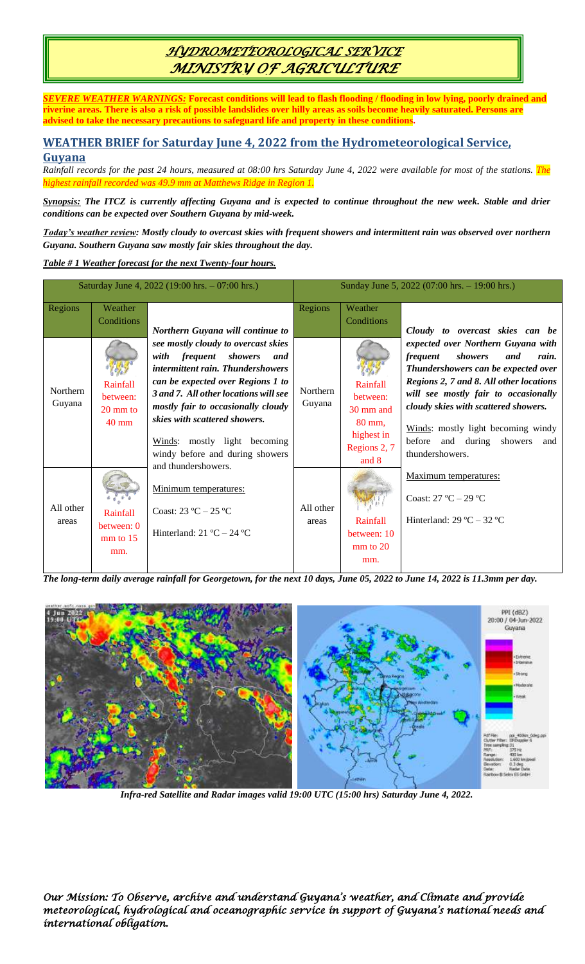# *HYDROMETEOROLOGICAL SERVICE MINISTRY OF AGRICULTURE*

*SEVERE WEATHER WARNINGS:* **Forecast conditions will lead to flash flooding / flooding in low lying, poorly drained and riverine areas. There is also a risk of possible landslides over hilly areas as soils become heavily saturated. Persons are advised to take the necessary precautions to safeguard life and property in these conditions.**

## **WEATHER BRIEF for Saturday June 4, 2022 from the Hydrometeorological Service, Guyana**

*Rainfall records for the past 24 hours, measured at 08:00 hrs Saturday June 4, 2022 were available for most of the stations. The highest rainfall recorded was 49.9 mm at Matthews Ridge in Region 1.*

*Synopsis: The ITCZ is currently affecting Guyana and is expected to continue throughout the new week. Stable and drier conditions can be expected over Southern Guyana by mid-week.* 

*Today's weather review: Mostly cloudy to overcast skies with frequent showers and intermittent rain was observed over northern Guyana. Southern Guyana saw mostly fair skies throughout the day.* 

### *Table # 1 Weather forecast for the next Twenty-four hours.*

| Saturday June 4, 2022 (19:00 hrs. - 07:00 hrs.) |                                                               |                                                                                                                                                                                                                                                                  | Sunday June 5, 2022 (07:00 hrs. - 19:00 hrs.) |                                              |                                                                                                                                                                                                                                                                                          |
|-------------------------------------------------|---------------------------------------------------------------|------------------------------------------------------------------------------------------------------------------------------------------------------------------------------------------------------------------------------------------------------------------|-----------------------------------------------|----------------------------------------------|------------------------------------------------------------------------------------------------------------------------------------------------------------------------------------------------------------------------------------------------------------------------------------------|
| Regions                                         | Weather<br>Conditions                                         | Northern Guyana will continue to                                                                                                                                                                                                                                 | Regions                                       | Weather<br><b>Conditions</b>                 | Cloudy to overcast skies can be                                                                                                                                                                                                                                                          |
| Northern<br>Guyana                              | Rainfall<br>between:<br>$20 \text{ mm}$ to<br>$40 \text{ mm}$ | see mostly cloudy to overcast skies<br>with<br>frequent showers<br>and<br>intermittent rain. Thundershowers<br>can be expected over Regions 1 to<br>3 and 7. All other locations will see<br>mostly fair to occasionally cloudy<br>skies with scattered showers. | Northern<br>Guyana                            | Rainfall<br>between:<br>30 mm and<br>80 mm,  | expected over Northern Guyana with<br>showers<br>and<br><i>frequent</i><br>rain.<br>Thundershowers can be expected over<br>Regions 2, 7 and 8. All other locations<br>will see mostly fair to occasionally<br>cloudy skies with scattered showers.<br>Winds: mostly light becoming windy |
|                                                 |                                                               | Winds: mostly light becoming<br>windy before and during showers<br>and thundershowers.                                                                                                                                                                           |                                               | highest in<br>Regions 2, 7<br>and 8          | before<br>and during showers<br>and<br>thundershowers.                                                                                                                                                                                                                                   |
|                                                 |                                                               | Minimum temperatures:                                                                                                                                                                                                                                            |                                               |                                              | Maximum temperatures:<br>Coast: $27 °C - 29 °C$                                                                                                                                                                                                                                          |
| All other<br>areas                              | Rainfall<br>between: 0<br>$mm$ to 15<br>mm.                   | Coast: $23 \text{ °C} - 25 \text{ °C}$<br>Hinterland: $21 \text{ °C} - 24 \text{ °C}$                                                                                                                                                                            | All other<br>areas                            | Rainfall<br>between: 10<br>$mm$ to 20<br>mm. | Hinterland: $29^{\circ}C - 32^{\circ}C$                                                                                                                                                                                                                                                  |

*The long-term daily average rainfall for Georgetown, for the next 10 days, June 05, 2022 to June 14, 2022 is 11.3mm per day.*



*Infra-red Satellite and Radar images valid 19:00 UTC (15:00 hrs) Saturday June 4, 2022.*

*Our Mission: To Observe, archive and understand Guyana's weather, and Climate and provide meteorological, hydrological and oceanographic service in support of Guyana's national needs and international obligation.*